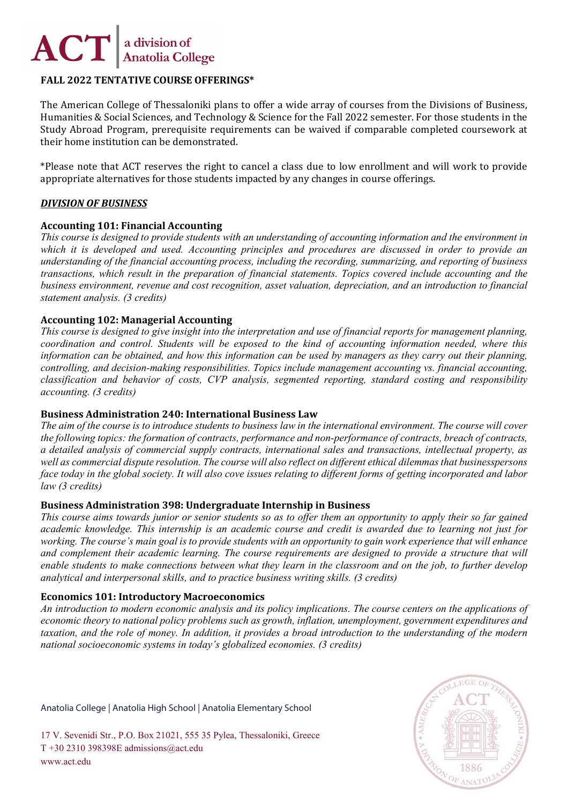

# **FALL 2022 TENTATIVE COURSE OFFERINGS\***

The American College of Thessaloniki plans to offer a wide array of courses from the Divisions of Business, Humanities & Social Sciences, and Technology & Science for the Fall 2022 semester. For those students in the Study Abroad Program, prerequisite requirements can be waived if comparable completed coursework at their home institution can be demonstrated.

\*Please note that ACT reserves the right to cancel a class due to low enrollment and will work to provide appropriate alternatives for those students impacted by any changes in course offerings.

# *DIVISION OF BUSINESS*

#### **Accounting 101: Financial Accounting**

*This course is designed to provide students with an understanding of accounting information and the environment in which it is developed and used. Accounting principles and procedures are discussed in order to provide an understanding of the financial accounting process, including the recording, summarizing, and reporting of business transactions, which result in the preparation of financial statements. Topics covered include accounting and the business environment, revenue and cost recognition, asset valuation, depreciation, and an introduction to financial statement analysis. (3 credits)*

#### **Accounting 102: Managerial Accounting**

*This course is designed to give insight into the interpretation and use of financial reports for management planning, coordination and control. Students will be exposed to the kind of accounting information needed, where this information can be obtained, and how this information can be used by managers as they carry out their planning, controlling, and decision-making responsibilities. Topics include management accounting vs. financial accounting, classification and behavior of costs, CVP analysis, segmented reporting, standard costing and responsibility accounting. (3 credits)*

#### **Business Administration 240: International Business Law**

*The aim of the course is to introduce students to business law in the international environment. The course will cover the following topics: the formation of contracts, performance and non-performance of contracts, breach of contracts, a detailed analysis of commercial supply contracts, international sales and transactions, intellectual property, as well as commercial dispute resolution. The course will also reflect on different ethical dilemmas that businesspersons face today in the global society. It will also cove issues relating to different forms of getting incorporated and labor law (3 credits)*

#### **Business Administration 398: Undergraduate Internship in Business**

*This course aims towards junior or senior students so as to offer them an opportunity to apply their so far gained academic knowledge. This internship is an academic course and credit is awarded due to learning not just for working. The course's main goal is to provide students with an opportunity to gain work experience that will enhance and complement their academic learning. The course requirements are designed to provide a structure that will enable students to make connections between what they learn in the classroom and on the job, to further develop analytical and interpersonal skills, and to practice business writing skills. (3 credits)*

#### **Economics 101: Introductory Macroeconomics**

*An introduction to modern economic analysis and its policy implications. The course centers on the applications of economic theory to national policy problems such as growth, inflation, unemployment, government expenditures and taxation, and the role of money. In addition, it provides a broad introduction to the understanding of the modern national socioeconomic systems in today's globalized economies. (3 credits)*

Anatolia College | Anatolia High School | Anatolia Elementary School

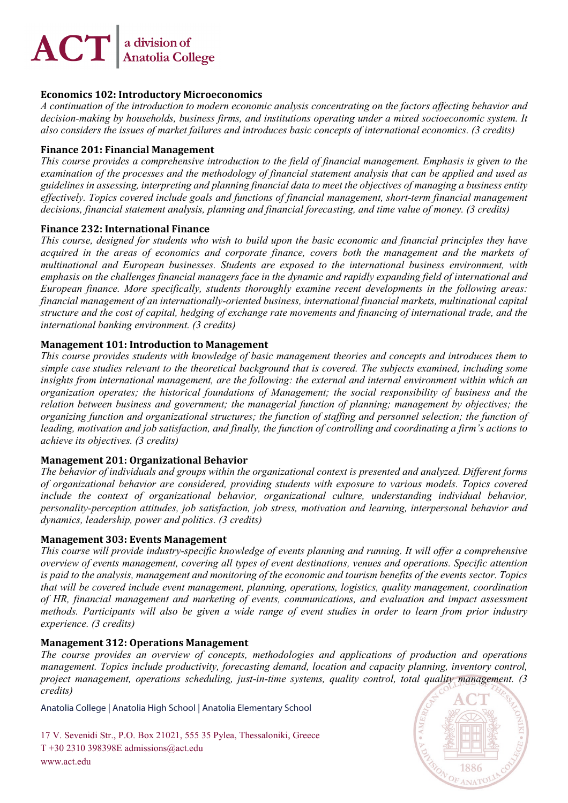# $\bm{ACT}\left|^\text{a division of }\right.$  Anatolia College

# **Economics 102: Introductory Microeconomics**

*A continuation of the introduction to modern economic analysis concentrating on the factors affecting behavior and decision-making by households, business firms, and institutions operating under a mixed socioeconomic system. It also considers the issues of market failures and introduces basic concepts of international economics. (3 credits)*

# **Finance 201: Financial Management**

*This course provides a comprehensive introduction to the field of financial management. Emphasis is given to the examination of the processes and the methodology of financial statement analysis that can be applied and used as guidelines in assessing, interpreting and planning financial data to meet the objectives of managing a business entity effectively. Topics covered include goals and functions of financial management, short-term financial management decisions, financial statement analysis, planning and financial forecasting, and time value of money. (3 credits)*

# **Finance 232: International Finance**

*This course, designed for students who wish to build upon the basic economic and financial principles they have acquired in the areas of economics and corporate finance, covers both the management and the markets of multinational and European businesses. Students are exposed to the international business environment, with emphasis on the challenges financial managers face in the dynamic and rapidly expanding field of international and European finance. More specifically, students thoroughly examine recent developments in the following areas: financial management of an internationally-oriented business, international financial markets, multinational capital structure and the cost of capital, hedging of exchange rate movements and financing of international trade, and the international banking environment. (3 credits)*

# **Management 101: Introduction to Management**

*This course provides students with knowledge of basic management theories and concepts and introduces them to simple case studies relevant to the theoretical background that is covered. The subjects examined, including some insights from international management, are the following: the external and internal environment within which an organization operates; the historical foundations of Management; the social responsibility of business and the relation between business and government; the managerial function of planning; management by objectives; the organizing function and organizational structures; the function of staffing and personnel selection; the function of leading, motivation and job satisfaction, and finally, the function of controlling and coordinating a firm's actions to achieve its objectives. (3 credits)*

# **Management 201: Organizational Behavior**

*The behavior of individuals and groups within the organizational context is presented and analyzed. Different forms of organizational behavior are considered, providing students with exposure to various models. Topics covered include the context of organizational behavior, organizational culture, understanding individual behavior, personality-perception attitudes, job satisfaction, job stress, motivation and learning, interpersonal behavior and dynamics, leadership, power and politics. (3 credits)*

# **Management 303: Events Management**

*This course will provide industry-specific knowledge of events planning and running. It will offer a comprehensive overview of events management, covering all types of event destinations, venues and operations. Specific attention is paid to the analysis, management and monitoring of the economic and tourism benefits of the events sector. Topics that will be covered include event management, planning, operations, logistics, quality management, coordination of HR, financial management and marketing of events, communications, and evaluation and impact assessment methods. Participants will also be given a wide range of event studies in order to learn from prior industry experience. (3 credits)*

# **Management 312: Operations Management**

*The course provides an overview of concepts, methodologies and applications of production and operations management. Topics include productivity, forecasting demand, location and capacity planning, inventory control, project management, operations scheduling, just-in-time systems, quality control, total quality management. (3 credits)*

Anatolia College | Anatolia High School | Anatolia Elementary School

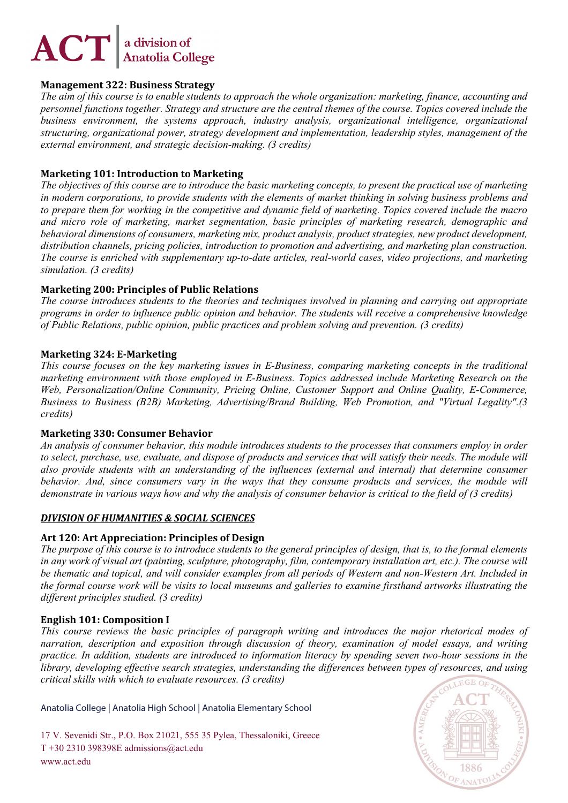#### **Management 322: Business Strategy**

*The aim of this course is to enable students to approach the whole organization: marketing, finance, accounting and personnel functions together. Strategy and structure are the central themes of the course. Topics covered include the business environment, the systems approach, industry analysis, organizational intelligence, organizational structuring, organizational power, strategy development and implementation, leadership styles, management of the external environment, and strategic decision-making. (3 credits)*

# **Marketing 101: Introduction to Marketing**

*The objectives of this course are to introduce the basic marketing concepts, to present the practical use of marketing in modern corporations, to provide students with the elements of market thinking in solving business problems and to prepare them for working in the competitive and dynamic field of marketing. Topics covered include the macro and micro role of marketing, market segmentation, basic principles of marketing research, demographic and behavioral dimensions of consumers, marketing mix, product analysis, product strategies, new product development, distribution channels, pricing policies, introduction to promotion and advertising, and marketing plan construction. The course is enriched with supplementary up-to-date articles, real-world cases, video projections, and marketing simulation. (3 credits)*

# **Marketing 200: Principles of Public Relations**

*The course introduces students to the theories and techniques involved in planning and carrying out appropriate programs in order to influence public opinion and behavior. The students will receive a comprehensive knowledge of Public Relations, public opinion, public practices and problem solving and prevention. (3 credits)*

# **Marketing 324: E-Marketing**

*This course focuses on the key marketing issues in E-Business, comparing marketing concepts in the traditional marketing environment with those employed in E-Business. Topics addressed include Marketing Research on the Web, Personalization/Online Community, Pricing Online, Customer Support and Online Quality, E-Commerce, Business to Business (B2B) Marketing, Advertising/Brand Building, Web Promotion, and "Virtual Legality".(3 credits)*

# **Marketing 330: Consumer Behavior**

*An analysis of consumer behavior, this module introduces students to the processes that consumers employ in order to select, purchase, use, evaluate, and dispose of products and services that will satisfy their needs. The module will also provide students with an understanding of the influences (external and internal) that determine consumer behavior. And, since consumers vary in the ways that they consume products and services, the module will demonstrate in various ways how and why the analysis of consumer behavior is critical to the field of (3 credits)*

# *DIVISION OF HUMANITIES & SOCIAL SCIENCES*

# **Art 120: Art Appreciation: Principles of Design**

*The purpose of this course is to introduce students to the general principles of design, that is, to the formal elements in any work of visual art (painting, sculpture, photography, film, contemporary installation art, etc.). The course will be thematic and topical, and will consider examples from all periods of Western and non-Western Art. Included in the formal course work will be visits to local museums and galleries to examine firsthand artworks illustrating the different principles studied. (3 credits)*

# **English 101: Composition I**

*This course reviews the basic principles of paragraph writing and introduces the major rhetorical modes of narration, description and exposition through discussion of theory, examination of model essays, and writing practice. In addition, students are introduced to information literacy by spending seven two-hour sessions in the library, developing effective search strategies, understanding the differences between types of resources, and using critical skills with which to evaluate resources. (3 credits)*

Anatolia College | Anatolia High School | Anatolia Elementary School

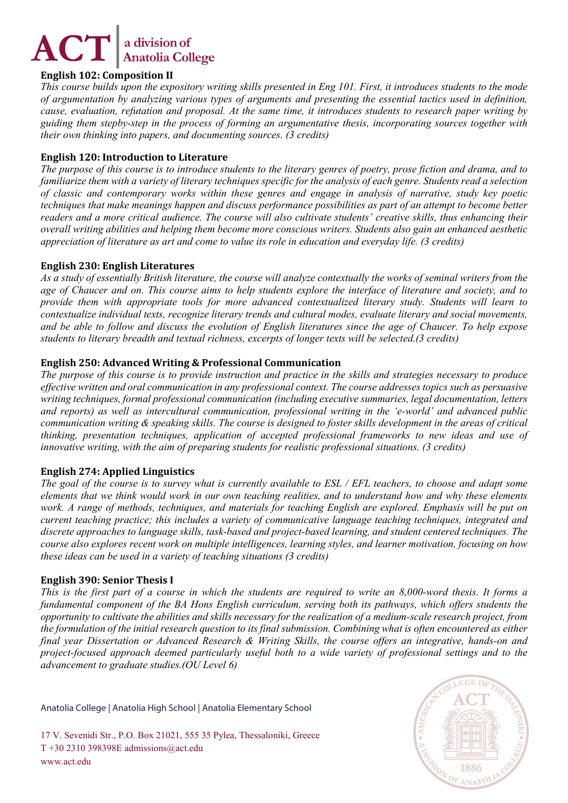# **English 102: Composition II**

*This course builds upon the expository writing skills presented in Eng 101. First, it introduces students to the mode of argumentation by analyzing various types of arguments and presenting the essential tactics used in definition, cause, evaluation, refutation and proposal. At the same time, it introduces students to research paper writing by guiding them stepby-step in the process of forming an argumentative thesis, incorporating sources together with their own thinking into papers, and documenting sources. (3 credits)*

# **English 120: Introduction to Literature**

*The purpose of this course is to introduce students to the literary genres of poetry, prose fiction and drama, and to familiarize them with a variety of literary techniques specific for the analysis of each genre. Students read a selection of classic and contemporary works within these genres and engage in analysis of narrative, study key poetic techniques that make meanings happen and discuss performance possibilities as part of an attempt to become better readers and a more critical audience. The course will also cultivate students' creative skills, thus enhancing their overall writing abilities and helping them become more conscious writers. Students also gain an enhanced aesthetic appreciation of literature as art and come to value its role in education and everyday life. (3 credits)*

# **English 230: English Literatures**

*As a study of essentially British literature, the course will analyze contextually the works of seminal writers from the age of Chaucer and on. This course aims to help students explore the interface of literature and society, and to provide them with appropriate tools for more advanced contextualized literary study. Students will learn to contextualize individual texts, recognize literary trends and cultural modes, evaluate literary and social movements, and be able to follow and discuss the evolution of English literatures since the age of Chaucer. To help expose students to literary breadth and textual richness, excerpts of longer texts will be selected.(3 credits)*

# **English 250: Advanced Writing & Professional Communication**

*The purpose of this course is to provide instruction and practice in the skills and strategies necessary to produce effective written and oral communication in any professional context. The course addresses topics such as persuasive writing techniques, formal professional communication (including executive summaries, legal documentation, letters and reports) as well as intercultural communication, professional writing in the 'e-world' and advanced public communication writing & speaking skills. The course is designed to foster skills development in the areas of critical thinking, presentation techniques, application of accepted professional frameworks to new ideas and use of innovative writing, with the aim of preparing students for realistic professional situations. (3 credits)*

# **English 274: Applied Linguistics**

*The goal of the course is to survey what is currently available to ESL / EFL teachers, to choose and adapt some elements that we think would work in our own teaching realities, and to understand how and why these elements work. A range of methods, techniques, and materials for teaching English are explored. Emphasis will be put on current teaching practice; this includes a variety of communicative language teaching techniques, integrated and discrete approaches to language skills, task-based and project-based learning, and student centered techniques. The course also explores recent work on multiple intelligences, learning styles, and learner motivation, focusing on how these ideas can be used in a variety of teaching situations (3 credits)*

# **English 390: Senior Thesis I**

*This is the first part of a course in which the students are required to write an 8,000-word thesis. It forms a fundamental component of the BA Hons English curriculum, serving both its pathways, which offers students the opportunity to cultivate the abilities and skills necessary for the realization of a medium-scale research project, from the formulation of the initial research question to its final submission. Combining what is often encountered as either final year Dissertation or Advanced Research & Writing Skills, the course offers an integrative, hands-on and project-focused approach deemed particularly useful both to a wide variety of professional settings and to the advancement to graduate studies.(OU Level 6)*

Anatolia College | Anatolia High School | Anatolia Elementary School

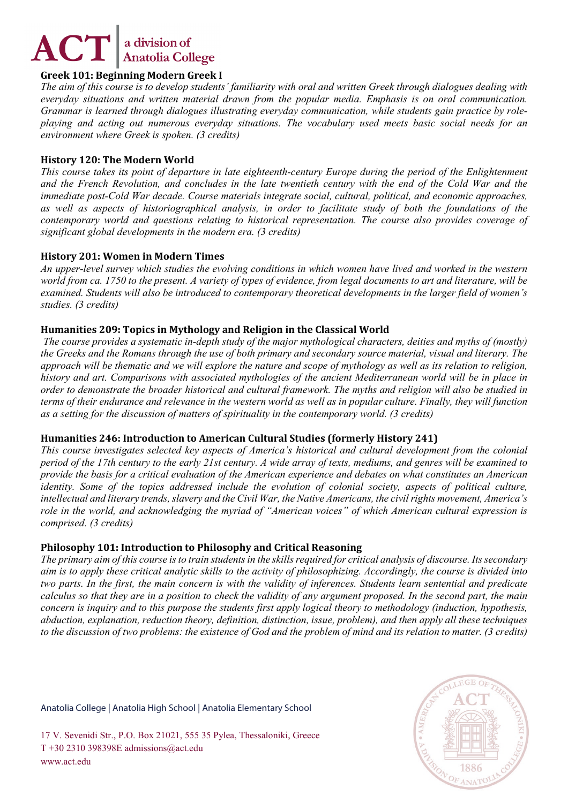# **Greek 101: Beginning Modern Greek I**

*The aim of this course is to develop students' familiarity with oral and written Greek through dialogues dealing with everyday situations and written material drawn from the popular media. Emphasis is on oral communication. Grammar is learned through dialogues illustrating everyday communication, while students gain practice by roleplaying and acting out numerous everyday situations. The vocabulary used meets basic social needs for an environment where Greek is spoken. (3 credits)*

# **History 120: The Modern World**

*This course takes its point of departure in late eighteenth-century Europe during the period of the Enlightenment and the French Revolution, and concludes in the late twentieth century with the end of the Cold War and the immediate post-Cold War decade. Course materials integrate social, cultural, political, and economic approaches, as well as aspects of historiographical analysis, in order to facilitate study of both the foundations of the contemporary world and questions relating to historical representation. The course also provides coverage of significant global developments in the modern era. (3 credits)*

# **History 201: Women in Modern Times**

*An upper-level survey which studies the evolving conditions in which women have lived and worked in the western world from ca. 1750 to the present. A variety of types of evidence, from legal documents to art and literature, will be examined. Students will also be introduced to contemporary theoretical developments in the larger field of women's studies. (3 credits)*

# **Humanities 209: Topics in Mythology and Religion in the Classical World**

*The course provides a systematic in-depth study of the major mythological characters, deities and myths of (mostly) the Greeks and the Romans through the use of both primary and secondary source material, visual and literary. The approach will be thematic and we will explore the nature and scope of mythology as well as its relation to religion, history and art. Comparisons with associated mythologies of the ancient Mediterranean world will be in place in order to demonstrate the broader historical and cultural framework. The myths and religion will also be studied in terms of their endurance and relevance in the western world as well as in popular culture. Finally, they will function as a setting for the discussion of matters of spirituality in the contemporary world. (3 credits)*

# **Humanities 246: Introduction to American Cultural Studies (formerly History 241)**

*This course investigates selected key aspects of America's historical and cultural development from the colonial period of the 17th century to the early 21st century. A wide array of texts, mediums, and genres will be examined to provide the basis for a critical evaluation of the American experience and debates on what constitutes an American identity. Some of the topics addressed include the evolution of colonial society, aspects of political culture, intellectual and literary trends, slavery and the Civil War, the Native Americans, the civil rights movement, America's role in the world, and acknowledging the myriad of "American voices" of which American cultural expression is comprised. (3 credits)*

# **Philosophy 101: Introduction to Philosophy and Critical Reasoning**

*The primary aim of this course is to train students in the skills required for critical analysis of discourse. Its secondary aim is to apply these critical analytic skills to the activity of philosophizing. Accordingly, the course is divided into two parts. In the first, the main concern is with the validity of inferences. Students learn sentential and predicate calculus so that they are in a position to check the validity of any argument proposed. In the second part, the main concern is inquiry and to this purpose the students first apply logical theory to methodology (induction, hypothesis, abduction, explanation, reduction theory, definition, distinction, issue, problem), and then apply all these techniques to the discussion of two problems: the existence of God and the problem of mind and its relation to matter. (3 credits)*

Anatolia College | Anatolia High School | Anatolia Elementary School

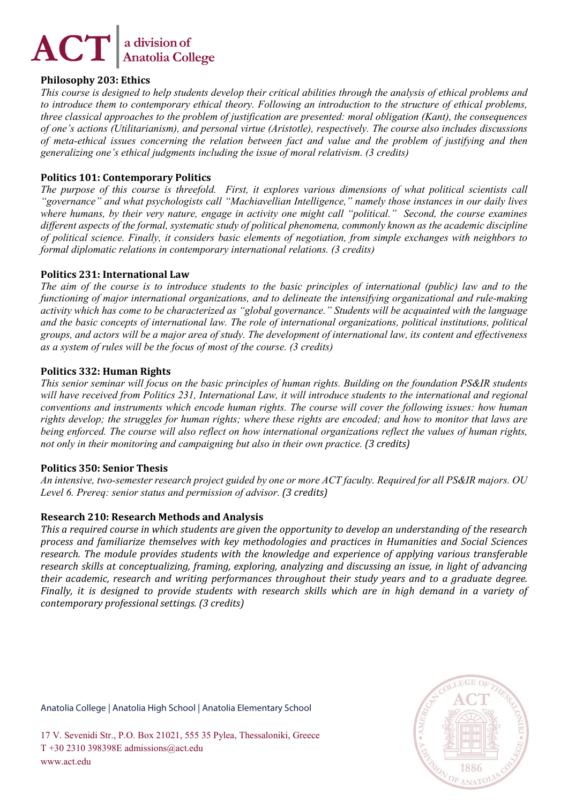# **Philosophy 203: Ethics**

*This course is designed to help students develop their critical abilities through the analysis of ethical problems and to introduce them to contemporary ethical theory. Following an introduction to the structure of ethical problems, three classical approaches to the problem of justification are presented: moral obligation (Kant), the consequences of one's actions (Utilitarianism), and personal virtue (Aristotle), respectively. The course also includes discussions of meta-ethical issues concerning the relation between fact and value and the problem of justifying and then generalizing one's ethical judgments including the issue of moral relativism. (3 credits)*

# **Politics 101: Contemporary Politics**

*The purpose of this course is threefold. First, it explores various dimensions of what political scientists call "governance" and what psychologists call "Machiavellian Intelligence," namely those instances in our daily lives where humans, by their very nature, engage in activity one might call "political." Second, the course examines different aspects of the formal, systematic study of political phenomena, commonly known as the academic discipline of political science. Finally, it considers basic elements of negotiation, from simple exchanges with neighbors to formal diplomatic relations in contemporary international relations. (3 credits)*

# **Politics 231: International Law**

*The aim of the course is to introduce students to the basic principles of international (public) law and to the functioning of major international organizations, and to delineate the intensifying organizational and rule-making activity which has come to be characterized as "global governance." Students will be acquainted with the language and the basic concepts of international law. The role of international organizations, political institutions, political groups, and actors will be a major area of study. The development of international law, its content and effectiveness as a system of rules will be the focus of most of the course. (3 credits)*

# **Politics 332: Human Rights**

*This senior seminar will focus on the basic principles of human rights. Building on the foundation PS&IR students*  will have received from Politics 231, International Law, it will introduce students to the international and regional *conventions and instruments which encode human rights. The course will cover the following issues: how human rights develop; the struggles for human rights; where these rights are encoded; and how to monitor that laws are being enforced. The course will also reflect on how international organizations reflect the values of human rights, not only in their monitoring and campaigning but also in their own practice. (3 credits)*

# **Politics 350: Senior Thesis**

*An intensive, two-semester research project guided by one or more ACT faculty. Required for all PS&IR majors. OU Level 6. Prereq: senior status and permission of advisor. (3 credits)*

# **Research 210: Research Methods and Analysis**

*This a required course in which students are given the opportunity to develop an understanding of the research process and familiarize themselves with key methodologies and practices in Humanities and Social Sciences research. The module provides students with the knowledge and experience of applying various transferable research skills at conceptualizing, framing, exploring, analyzing and discussing an issue, in light of advancing their academic, research and writing performances throughout their study years and to a graduate degree. Finally, it is designed to provide students with research skills which are in high demand in a variety of contemporary professional settings. (3 credits)*

Anatolia College | Anatolia High School | Anatolia Elementary School

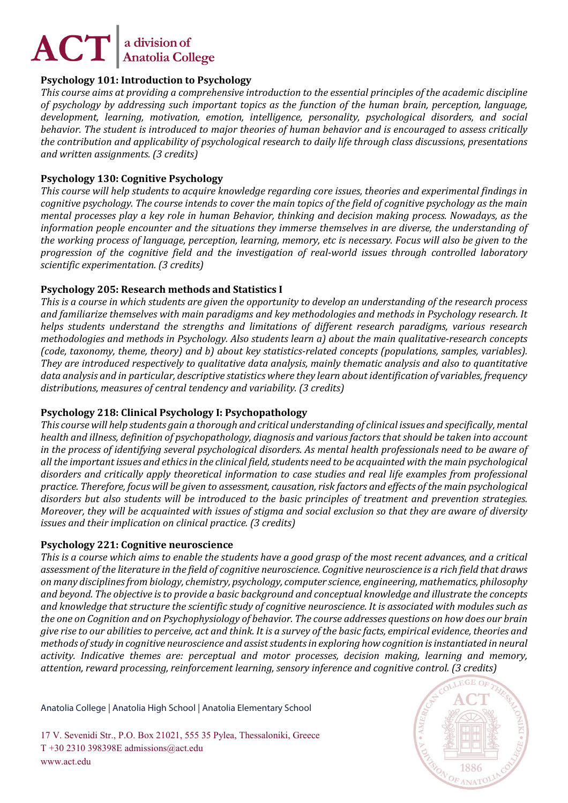# **Psychology 101: Introduction to Psychology**

*This course aims at providing a comprehensive introduction to the essential principles of the academic discipline of psychology by addressing such important topics as the function of the human brain, perception, language, development, learning, motivation, emotion, intelligence, personality, psychological disorders, and social behavior. The student is introduced to major theories of human behavior and is encouraged to assess critically the contribution and applicability of psychological research to daily life through class discussions, presentations and written assignments. (3 credits)*

# **Psychology 130: Cognitive Psychology**

*This course will help students to acquire knowledge regarding core issues, theories and experimental findings in cognitive psychology. The course intends to cover the main topics of the field of cognitive psychology as the main mental processes play a key role in human Behavior, thinking and decision making process. Nowadays, as the information people encounter and the situations they immerse themselves in are diverse, the understanding of the working process of language, perception, learning, memory, etc is necessary. Focus will also be given to the progression of the cognitive field and the investigation of real-world issues through controlled laboratory scientific experimentation. (3 credits)*

# **Psychology 205: Research methods and Statistics I**

*This is a course in which students are given the opportunity to develop an understanding of the research process and familiarize themselves with main paradigms and key methodologies and methods in Psychology research. It helps students understand the strengths and limitations of different research paradigms, various research methodologies and methods in Psychology. Also students learn a) about the main qualitative-research concepts (code, taxonomy, theme, theory) and b) about key statistics-related concepts (populations, samples, variables). They are introduced respectively to qualitative data analysis, mainly thematic analysis and also to quantitative data analysis and in particular, descriptive statistics where they learn about identification of variables, frequency distributions, measures of central tendency and variability. (3 credits)*

# **Psychology 218: Clinical Psychology I: Psychopathology**

*This course will help students gain a thorough and critical understanding of clinical issues and specifically, mental health and illness, definition of psychopathology, diagnosis and various factors that should be taken into account in the process of identifying several psychological disorders. As mental health professionals need to be aware of all the important issues and ethics in the clinical field, students need to be acquainted with the main psychological disorders and critically apply theoretical information to case studies and real life examples from professional practice. Therefore, focus will be given to assessment, causation, risk factors and effects of the main psychological disorders but also students will be introduced to the basic principles of treatment and prevention strategies. Moreover, they will be acquainted with issues of stigma and social exclusion so that they are aware of diversity issues and their implication on clinical practice. (3 credits)*

# **Psychology 221: Cognitive neuroscience**

*This is a course which aims to enable the students have a good grasp of the most recent advances, and a critical assessment of the literature in the field of cognitive neuroscience. Cognitive neuroscience is a rich field that draws on many disciplines from biology, chemistry, psychology, computer science, engineering, mathematics, philosophy and beyond. The objective is to provide a basic background and conceptual knowledge and illustrate the concepts and knowledge that structure the scientific study of cognitive neuroscience. It is associated with modules such as the one on Cognition and on Psychophysiology of behavior. The course addresses questions on how does our brain give rise to our abilities to perceive, act and think. It is a survey of the basic facts, empirical evidence, theories and methods of study in cognitive neuroscience and assist students in exploring how cognition is instantiated in neural activity. Indicative themes are: perceptual and motor processes, decision making, learning and memory, attention, reward processing, reinforcement learning, sensory inference and cognitive control. (3 credits)*

Anatolia College | Anatolia High School | Anatolia Elementary School

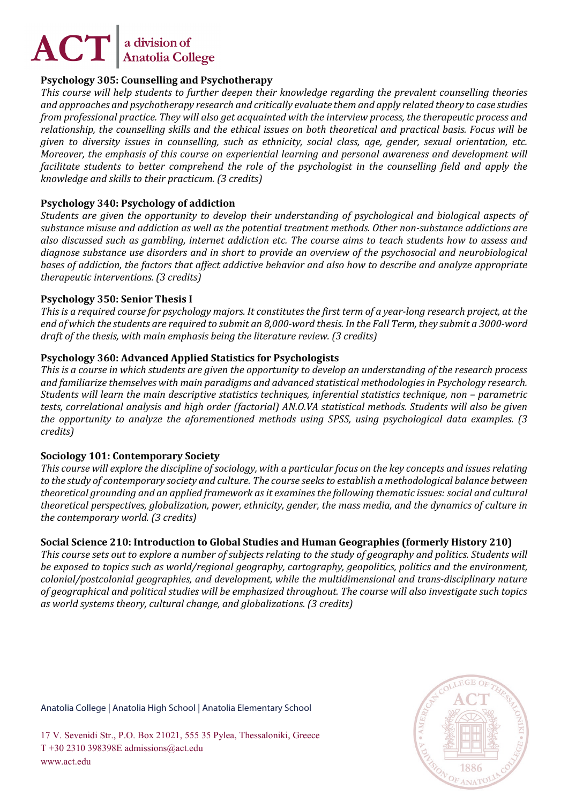# **Psychology 305: Counselling and Psychotherapy**

*This course will help students to further deepen their knowledge regarding the prevalent counselling theories and approaches and psychotherapy research and critically evaluate them and apply related theory to case studies from professional practice. They will also get acquainted with the interview process, the therapeutic process and relationship, the counselling skills and the ethical issues on both theoretical and practical basis. Focus will be given to diversity issues in counselling, such as ethnicity, social class, age, gender, sexual orientation, etc. Moreover, the emphasis of this course on experiential learning and personal awareness and development will facilitate students to better comprehend the role of the psychologist in the counselling field and apply the knowledge and skills to their practicum. (3 credits)*

# **Psychology 340: Psychology of addiction**

*Students are given the opportunity to develop their understanding of psychological and biological aspects of substance misuse and addiction as well as the potential treatment methods. Other non-substance addictions are also discussed such as gambling, internet addiction etc. The course aims to teach students how to assess and diagnose substance use disorders and in short to provide an overview of the psychosocial and neurobiological bases of addiction, the factors that affect addictive behavior and also how to describe and analyze appropriate therapeutic interventions. (3 credits)*

# **Psychology 350: Senior Thesis I**

*This is a required course for psychology majors. It constitutes the first term of a year-long research project, at the end of which the students are required to submit an 8,000-word thesis. In the Fall Term, they submit a 3000-word draft of the thesis, with main emphasis being the literature review. (3 credits)*

# **Psychology 360: Advanced Applied Statistics for Psychologists**

*This is a course in which students are given the opportunity to develop an understanding of the research process and familiarize themselves with main paradigms and advanced statistical methodologies in Psychology research. Students will learn the main descriptive statistics techniques, inferential statistics technique, non – parametric tests, correlational analysis and high order (factorial) AN.O.VA statistical methods. Students will also be given the opportunity to analyze the aforementioned methods using SPSS, using psychological data examples. (3 credits)*

# **Sociology 101: Contemporary Society**

*This course will explore the discipline of sociology, with a particular focus on the key concepts and issues relating to the study of contemporary society and culture. The course seeks to establish a methodological balance between theoretical grounding and an applied framework as it examines the following thematic issues: social and cultural theoretical perspectives, globalization, power, ethnicity, gender, the mass media, and the dynamics of culture in the contemporary world. (3 credits)*

# **Social Science 210: Introduction to Global Studies and Human Geographies (formerly History 210)**

*This course sets out to explore a number of subjects relating to the study of geography and politics. Students will be exposed to topics such as world/regional geography, cartography, geopolitics, politics and the environment, colonial/postcolonial geographies, and development, while the multidimensional and trans-disciplinary nature of geographical and political studies will be emphasized throughout. The course will also investigate such topics as world systems theory, cultural change, and globalizations. (3 credits)*

Anatolia College | Anatolia High School | Anatolia Elementary School

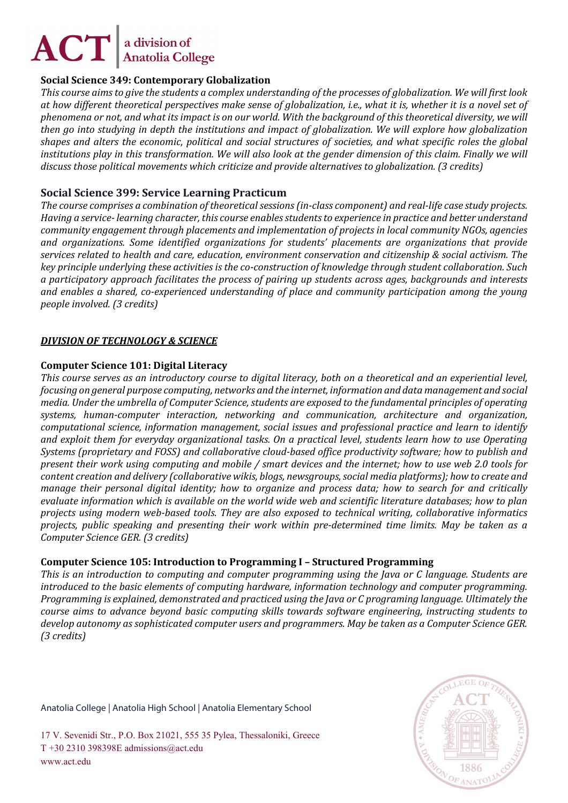# **Social Science 349: Contemporary Globalization**

*This course aims to give the students a complex understanding of the processes of globalization. We will first look at how different theoretical perspectives make sense of globalization, i.e., what it is, whether it is a novel set of phenomena or not, and what its impact is on our world. With the background of this theoretical diversity, we will then go into studying in depth the institutions and impact of globalization. We will explore how globalization shapes and alters the economic, political and social structures of societies, and what specific roles the global*  institutions play in this transformation. We will also look at the gender dimension of this claim. Finally we will *discuss those political movements which criticize and provide alternatives to globalization. (3 credits)*

# **Social Science 399: Service Learning Practicum**

*The course comprises a combination of theoretical sessions (in-class component) and real-life case study projects. Having a service- learning character, this course enables students to experience in practice and better understand community engagement through placements and implementation of projects in local community NGOs, agencies and organizations. Some identified organizations for students' placements are organizations that provide services related to health and care, education, environment conservation and citizenship & social activism. The key principle underlying these activities is the co-construction of knowledge through student collaboration. Such a participatory approach facilitates the process of pairing up students across ages, backgrounds and interests and enables a shared, co-experienced understanding of place and community participation among the young people involved. (3 credits)*

# *DIVISION OF TECHNOLOGY & SCIENCE*

#### **Computer Science 101: Digital Literacy**

*This course serves as an introductory course to digital literacy, both on a theoretical and an experiential level, focusing on general purpose computing, networks and the internet, information and data management and social media. Under the umbrella of Computer Science, students are exposed to the fundamental principles of operating systems, human-computer interaction, networking and communication, architecture and organization, computational science, information management, social issues and professional practice and learn to identify and exploit them for everyday organizational tasks. On a practical level, students learn how to use Operating Systems (proprietary and FOSS) and collaborative cloud-based office productivity software; how to publish and present their work using computing and mobile / smart devices and the internet; how to use web 2.0 tools for content creation and delivery (collaborative wikis, blogs, newsgroups, social media platforms); how to create and manage their personal digital identity; how to organize and process data; how to search for and critically evaluate information which is available on the world wide web and scientific literature databases; how to plan projects using modern web-based tools. They are also exposed to technical writing, collaborative informatics projects, public speaking and presenting their work within pre-determined time limits. May be taken as a Computer Science GER. (3 credits)*

# **Computer Science 105: Introduction to Programming I – Structured Programming**

*This is an introduction to computing and computer programming using the Java or C language. Students are introduced to the basic elements of computing hardware, information technology and computer programming. Programming is explained, demonstrated and practiced using the Java or C programing language. Ultimately the course aims to advance beyond basic computing skills towards software engineering, instructing students to develop autonomy as sophisticated computer users and programmers. May be taken as a Computer Science GER. (3 credits)*

Anatolia College | Anatolia High School | Anatolia Elementary School

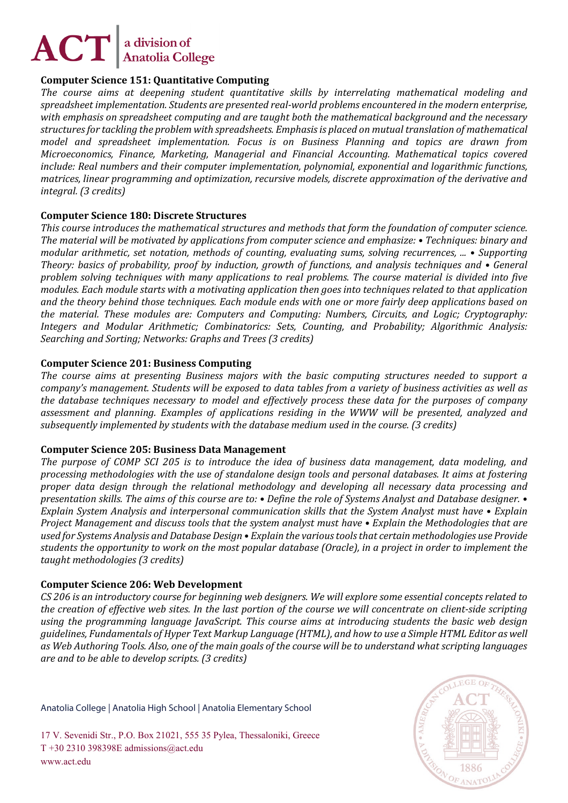# **Computer Science 151: Quantitative Computing**

*The course aims at deepening student quantitative skills by interrelating mathematical modeling and spreadsheet implementation. Students are presented real-world problems encountered in the modern enterprise, with emphasis on spreadsheet computing and are taught both the mathematical background and the necessary structures for tackling the problem with spreadsheets. Emphasis is placed on mutual translation of mathematical model and spreadsheet implementation. Focus is on Business Planning and topics are drawn from Microeconomics, Finance, Marketing, Managerial and Financial Accounting. Mathematical topics covered include: Real numbers and their computer implementation, polynomial, exponential and logarithmic functions, matrices, linear programming and optimization, recursive models, discrete approximation of the derivative and integral. (3 credits)*

# **Computer Science 180: Discrete Structures**

*This course introduces the mathematical structures and methods that form the foundation of computer science. The material will be motivated by applications from computer science and emphasize: • Techniques: binary and modular arithmetic, set notation, methods of counting, evaluating sums, solving recurrences, ... • Supporting Theory: basics of probability, proof by induction, growth of functions, and analysis techniques and • General problem solving techniques with many applications to real problems. The course material is divided into five modules. Each module starts with a motivating application then goes into techniques related to that application and the theory behind those techniques. Each module ends with one or more fairly deep applications based on the material. These modules are: Computers and Computing: Numbers, Circuits, and Logic; Cryptography: Integers and Modular Arithmetic; Combinatorics: Sets, Counting, and Probability; Algorithmic Analysis: Searching and Sorting; Networks: Graphs and Trees (3 credits)*

# **Computer Science 201: Business Computing**

*The course aims at presenting Business majors with the basic computing structures needed to support a company's management. Students will be exposed to data tables from a variety of business activities as well as the database techniques necessary to model and effectively process these data for the purposes of company assessment and planning. Examples of applications residing in the WWW will be presented, analyzed and subsequently implemented by students with the database medium used in the course. (3 credits)*

# **Computer Science 205: Business Data Management**

*The purpose of COMP SCI 205 is to introduce the idea of business data management, data modeling, and processing methodologies with the use of standalone design tools and personal databases. It aims at fostering proper data design through the relational methodology and developing all necessary data processing and presentation skills. The aims of this course are to: • Define the role of Systems Analyst and Database designer. • Explain System Analysis and interpersonal communication skills that the System Analyst must have • Explain Project Management and discuss tools that the system analyst must have • Explain the Methodologies that are used for Systems Analysis and Database Design • Explain the various tools that certain methodologies use Provide students the opportunity to work on the most popular database (Oracle), in a project in order to implement the taught methodologies (3 credits)*

# **Computer Science 206: Web Development**

*CS 206 is an introductory course for beginning web designers. We will explore some essential concepts related to the creation of effective web sites. In the last portion of the course we will concentrate on client-side scripting using the programming language JavaScript. This course aims at introducing students the basic web design guidelines, Fundamentals of Hyper Text Markup Language (HTML), and how to use a Simple HTML Editor as well as Web Authoring Tools. Also, one of the main goals of the course will be to understand what scripting languages are and to be able to develop scripts. (3 credits)*

Anatolia College | Anatolia High School | Anatolia Elementary School

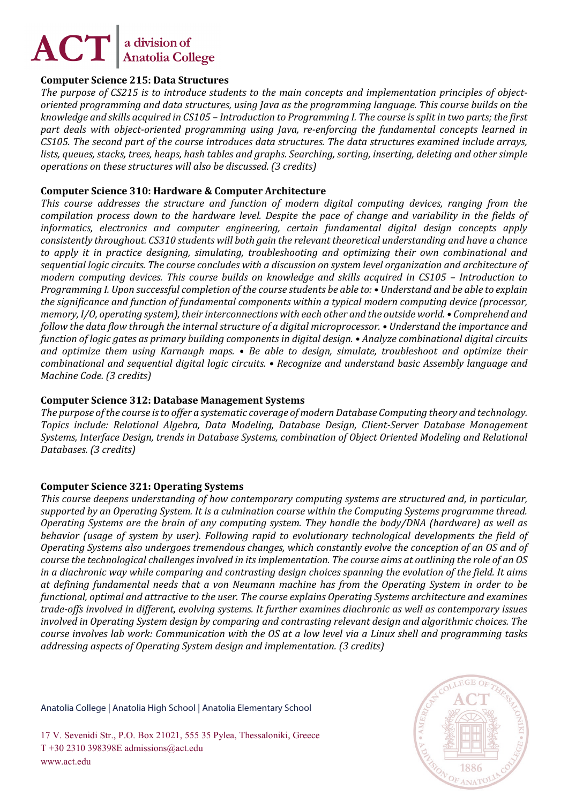# **Computer Science 215: Data Structures**

*The purpose of CS215 is to introduce students to the main concepts and implementation principles of objectoriented programming and data structures, using Java as the programming language. This course builds on the knowledge and skills acquired in CS105 – Introduction to Programming I. The course is split in two parts; the first part deals with object-oriented programming using Java, re-enforcing the fundamental concepts learned in CS105. The second part of the course introduces data structures. The data structures examined include arrays, lists, queues, stacks, trees, heaps, hash tables and graphs. Searching, sorting, inserting, deleting and other simple operations on these structures will also be discussed. (3 credits)*

# **Computer Science 310: Hardware & Computer Architecture**

*This course addresses the structure and function of modern digital computing devices, ranging from the compilation process down to the hardware level. Despite the pace of change and variability in the fields of informatics, electronics and computer engineering, certain fundamental digital design concepts apply consistently throughout. CS310 students will both gain the relevant theoretical understanding and have a chance to apply it in practice designing, simulating, troubleshooting and optimizing their own combinational and sequential logic circuits. The course concludes with a discussion on system level organization and architecture of modern computing devices. This course builds on knowledge and skills acquired in CS105 – Introduction to Programming I. Upon successful completion of the course students be able to: • Understand and be able to explain the significance and function of fundamental components within a typical modern computing device (processor, memory, I/O, operating system), their interconnections with each other and the outside world. • Comprehend and follow the data flow through the internal structure of a digital microprocessor. • Understand the importance and function of logic gates as primary building components in digital design. • Analyze combinational digital circuits and optimize them using Karnaugh maps. • Be able to design, simulate, troubleshoot and optimize their combinational and sequential digital logic circuits. • Recognize and understand basic Assembly language and Machine Code. (3 credits)*

# **Computer Science 312: Database Management Systems**

*The purpose of the course is to offer a systematic coverage of modern Database Computing theory and technology. Topics include: Relational Algebra, Data Modeling, Database Design, Client-Server Database Management Systems, Interface Design, trends in Database Systems, combination of Object Oriented Modeling and Relational Databases. (3 credits)*

# **Computer Science 321: Operating Systems**

*This course deepens understanding of how contemporary computing systems are structured and, in particular, supported by an Operating System. It is a culmination course within the Computing Systems programme thread. Operating Systems are the brain of any computing system. They handle the body/DNA (hardware) as well as behavior (usage of system by user). Following rapid to evolutionary technological developments the field of Operating Systems also undergoes tremendous changes, which constantly evolve the conception of an OS and of course the technological challenges involved in its implementation. The course aims at outlining the role of an OS in a diachronic way while comparing and contrasting design choices spanning the evolution of the field. It aims at defining fundamental needs that a von Neumann machine has from the Operating System in order to be functional, optimal and attractive to the user. The course explains Operating Systems architecture and examines trade-offs involved in different, evolving systems. It further examines diachronic as well as contemporary issues involved in Operating System design by comparing and contrasting relevant design and algorithmic choices. The course involves lab work: Communication with the OS at a low level via a Linux shell and programming tasks addressing aspects of Operating System design and implementation. (3 credits)*

Anatolia College | Anatolia High School | Anatolia Elementary School

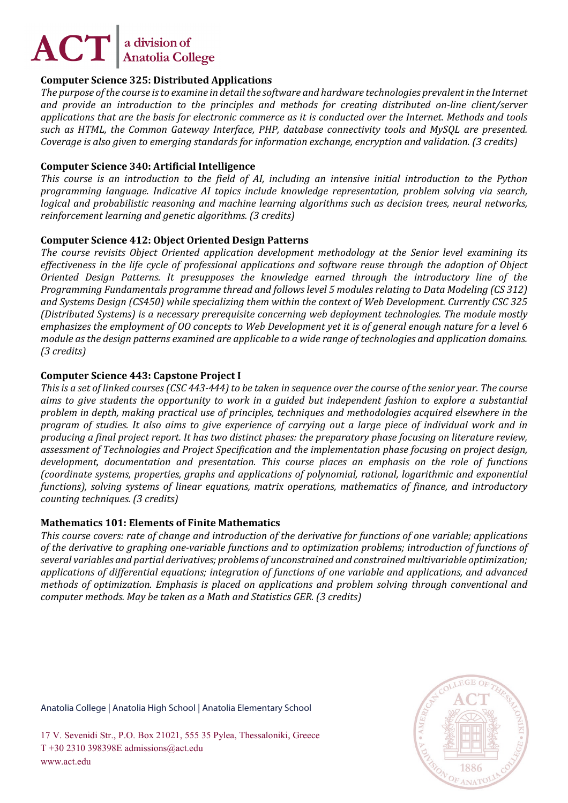# **Computer Science 325: Distributed Applications**

*The purpose of the course is to examine in detail the software and hardware technologies prevalent in the Internet and provide an introduction to the principles and methods for creating distributed on-line client/server applications that are the basis for electronic commerce as it is conducted over the Internet. Methods and tools such as HTML, the Common Gateway Interface, PHP, database connectivity tools and MySQL are presented. Coverage is also given to emerging standards for information exchange, encryption and validation. (3 credits)*

# **Computer Science 340: Artificial Intelligence**

*This course is an introduction to the field of AI, including an intensive initial introduction to the Python programming language. Indicative AI topics include knowledge representation, problem solving via search, logical and probabilistic reasoning and machine learning algorithms such as decision trees, neural networks, reinforcement learning and genetic algorithms. (3 credits)*

# **Computer Science 412: Object Oriented Design Patterns**

*The course revisits Object Oriented application development methodology at the Senior level examining its effectiveness in the life cycle of professional applications and software reuse through the adoption of Object Oriented Design Patterns. It presupposes the knowledge earned through the introductory line of the Programming Fundamentals programme thread and follows level 5 modules relating to Data Modeling (CS 312) and Systems Design (CS450) while specializing them within the context of Web Development. Currently CSC 325 (Distributed Systems) is a necessary prerequisite concerning web deployment technologies. The module mostly emphasizes the employment of OO concepts to Web Development yet it is of general enough nature for a level 6 module as the design patterns examined are applicable to a wide range of technologies and application domains. (3 credits)*

# **Computer Science 443: Capstone Project I**

*This is a set of linked courses (CSC 443-444) to be taken in sequence over the course of the senior year. The course aims to give students the opportunity to work in a guided but independent fashion to explore a substantial problem in depth, making practical use of principles, techniques and methodologies acquired elsewhere in the program of studies. It also aims to give experience of carrying out a large piece of individual work and in producing a final project report. It has two distinct phases: the preparatory phase focusing on literature review, assessment of Technologies and Project Specification and the implementation phase focusing on project design, development, documentation and presentation. This course places an emphasis on the role of functions (coordinate systems, properties, graphs and applications of polynomial, rational, logarithmic and exponential functions), solving systems of linear equations, matrix operations, mathematics of finance, and introductory counting techniques. (3 credits)*

# **Mathematics 101: Elements of Finite Mathematics**

*This course covers: rate of change and introduction of the derivative for functions of one variable; applications of the derivative to graphing one-variable functions and to optimization problems; introduction of functions of several variables and partial derivatives; problems of unconstrained and constrained multivariable optimization; applications of differential equations; integration of functions of one variable and applications, and advanced methods of optimization. Emphasis is placed on applications and problem solving through conventional and computer methods. May be taken as a Math and Statistics GER. (3 credits)*

Anatolia College | Anatolia High School | Anatolia Elementary School